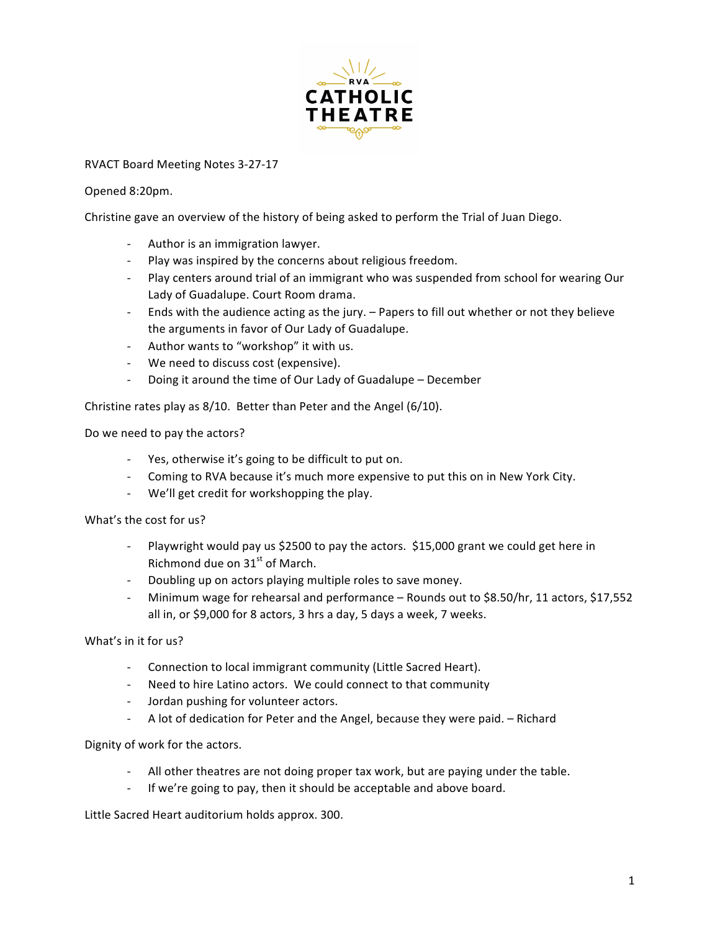

## RVACT Board Meeting Notes 3-27-17

## Opened 8:20pm.

Christine gave an overview of the history of being asked to perform the Trial of Juan Diego.

- Author is an immigration lawyer.
- Play was inspired by the concerns about religious freedom.
- Play centers around trial of an immigrant who was suspended from school for wearing Our Lady of Guadalupe. Court Room drama.
- Ends with the audience acting as the jury. Papers to fill out whether or not they believe the arguments in favor of Our Lady of Guadalupe.
- Author wants to "workshop" it with us.
- We need to discuss cost (expensive).
- Doing it around the time of Our Lady of Guadalupe December

Christine rates play as  $8/10$ . Better than Peter and the Angel (6/10).

Do we need to pay the actors?

- Yes, otherwise it's going to be difficult to put on.
- Coming to RVA because it's much more expensive to put this on in New York City.
- We'll get credit for workshopping the play.

What's the cost for us?

- Playwright would pay us \$2500 to pay the actors. \$15,000 grant we could get here in Richmond due on  $31<sup>st</sup>$  of March.
- Doubling up on actors playing multiple roles to save money.
- Minimum wage for rehearsal and performance Rounds out to \$8.50/hr, 11 actors, \$17,552 all in, or \$9,000 for 8 actors, 3 hrs a day, 5 days a week, 7 weeks.

What's in it for us?

- Connection to local immigrant community (Little Sacred Heart).
- Need to hire Latino actors. We could connect to that community
- Jordan pushing for volunteer actors.
- A lot of dedication for Peter and the Angel, because they were paid. Richard

Dignity of work for the actors.

- All other theatres are not doing proper tax work, but are paying under the table.
- If we're going to pay, then it should be acceptable and above board.

Little Sacred Heart auditorium holds approx. 300.